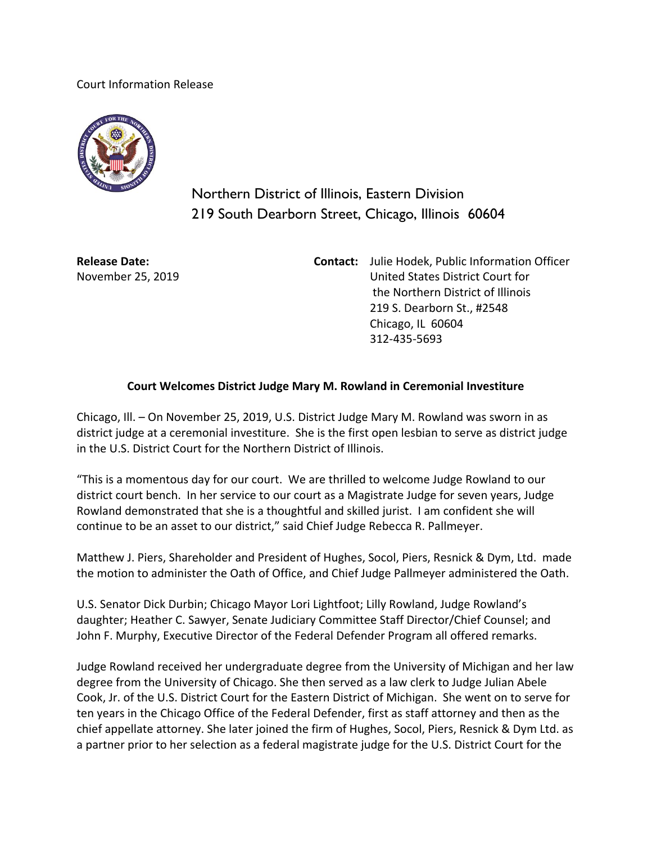Court Information Release



Northern District of Illinois, Eastern Division 219 South Dearborn Street, Chicago, Illinois 60604

**Release Date:** November 25, 2019 **Contact:** Julie Hodek, Public Information Officer United States District Court for the Northern District of Illinois 219 S. Dearborn St., #2548 Chicago, IL 60604 312-435-5693

## **Court Welcomes District Judge Mary M. Rowland in Ceremonial Investiture**

Chicago, Ill. – On November 25, 2019, U.S. District Judge Mary M. Rowland was sworn in as district judge at a ceremonial investiture. She is the first open lesbian to serve as district judge in the U.S. District Court for the Northern District of Illinois.

"This is a momentous day for our court. We are thrilled to welcome Judge Rowland to our district court bench. In her service to our court as a Magistrate Judge for seven years, Judge Rowland demonstrated that she is a thoughtful and skilled jurist. I am confident she will continue to be an asset to our district," said Chief Judge Rebecca R. Pallmeyer.

Matthew J. Piers, Shareholder and President of Hughes, Socol, Piers, Resnick & Dym, Ltd. made the motion to administer the Oath of Office, and Chief Judge Pallmeyer administered the Oath.

U.S. Senator Dick Durbin; Chicago Mayor Lori Lightfoot; Lilly Rowland, Judge Rowland's daughter; Heather C. Sawyer, Senate Judiciary Committee Staff Director/Chief Counsel; and John F. Murphy, Executive Director of the Federal Defender Program all offered remarks.

Judge Rowland received her undergraduate degree from the University of Michigan and her law degree from the University of Chicago. She then served as a law clerk to Judge Julian Abele Cook, Jr. of the U.S. District Court for the Eastern District of Michigan. She went on to serve for ten years in the Chicago Office of the Federal Defender, first as staff attorney and then as the chief appellate attorney. She later joined the firm of Hughes, Socol, Piers, Resnick & Dym Ltd. as a partner prior to her selection as a federal magistrate judge for the U.S. District Court for the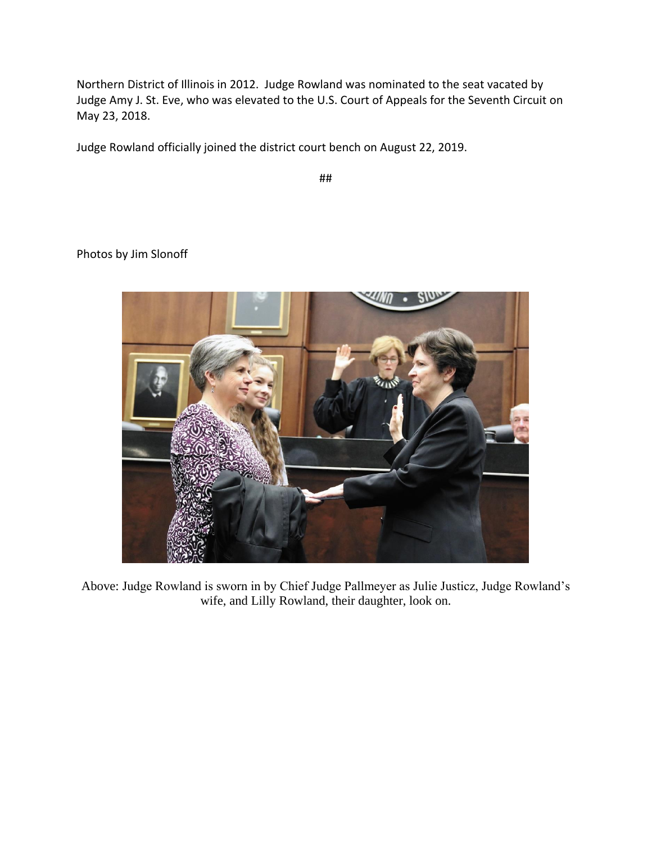Northern District of Illinois in 2012. Judge Rowland was nominated to the seat vacated by Judge [Amy J. St. Eve,](https://en.wikipedia.org/wiki/Amy_J._St._Eve) who was elevated to the [U.S. Court of Appeals for the Seventh Circuit](https://en.wikipedia.org/wiki/United_States_Court_of_Appeals_for_the_Seventh_Circuit) on May 23, 2018.

Judge Rowland officially joined the district court bench on August 22, 2019.

##

Photos by Jim Slonoff



Above: Judge Rowland is sworn in by Chief Judge Pallmeyer as Julie Justicz, Judge Rowland's wife, and Lilly Rowland, their daughter, look on.